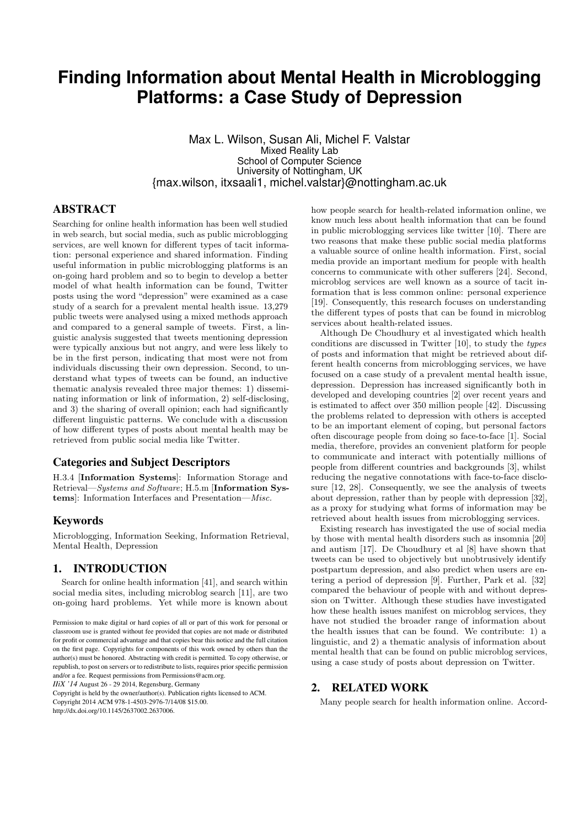# **Finding Information about Mental Health in Microblogging Platforms: a Case Study of Depression**

Max L. Wilson, Susan Ali, Michel F. Valstar Mixed Reality Lab School of Computer Science University of Nottingham, UK {max.wilson, itxsaali1, michel.valstar}@nottingham.ac.uk

# ABSTRACT

Searching for online health information has been well studied in web search, but social media, such as public microblogging services, are well known for different types of tacit information: personal experience and shared information. Finding useful information in public microblogging platforms is an on-going hard problem and so to begin to develop a better model of what health information can be found, Twitter posts using the word "depression" were examined as a case study of a search for a prevalent mental health issue. 13,279 public tweets were analysed using a mixed methods approach and compared to a general sample of tweets. First, a linguistic analysis suggested that tweets mentioning depression were typically anxious but not angry, and were less likely to be in the first person, indicating that most were not from individuals discussing their own depression. Second, to understand what types of tweets can be found, an inductive thematic analysis revealed three major themes: 1) disseminating information or link of information, 2) self-disclosing, and 3) the sharing of overall opinion; each had significantly different linguistic patterns. We conclude with a discussion of how different types of posts about mental health may be retrieved from public social media like Twitter.

#### Categories and Subject Descriptors

H.3.4 [Information Systems]: Information Storage and Retrieval—Systems and Software; H.5.m [Information Systems]: Information Interfaces and Presentation—Misc.

#### Keywords

Microblogging, Information Seeking, Information Retrieval, Mental Health, Depression

## 1. INTRODUCTION

Search for online health information [41], and search within social media sites, including microblog search [11], are two on-going hard problems. Yet while more is known about

*IIiX '14* August 26 - 29 2014, Regensburg, Germany

Copyright is held by the owner/author(s). Publication rights licensed to ACM. Copyright 2014 ACM 978-1-4503-2976-7/14/08 \$15.00.

http://dx.doi.org/10.1145/2637002.2637006.

how people search for health-related information online, we know much less about health information that can be found in public microblogging services like twitter [10]. There are two reasons that make these public social media platforms a valuable source of online health information. First, social media provide an important medium for people with health concerns to communicate with other sufferers [24]. Second, microblog services are well known as a source of tacit information that is less common online: personal experience [19]. Consequently, this research focuses on understanding the different types of posts that can be found in microblog services about health-related issues.

Although De Choudhury et al investigated which health conditions are discussed in Twitter [10], to study the types of posts and information that might be retrieved about different health concerns from microblogging services, we have focused on a case study of a prevalent mental health issue, depression. Depression has increased significantly both in developed and developing countries [2] over recent years and is estimated to affect over 350 million people [42]. Discussing the problems related to depression with others is accepted to be an important element of coping, but personal factors often discourage people from doing so face-to-face [1]. Social media, therefore, provides an convenient platform for people to communicate and interact with potentially millions of people from different countries and backgrounds [3], whilst reducing the negative connotations with face-to-face disclosure [12, 28]. Consequently, we see the analysis of tweets about depression, rather than by people with depression [32], as a proxy for studying what forms of information may be retrieved about health issues from microblogging services.

Existing research has investigated the use of social media by those with mental health disorders such as insomnia [20] and autism [17]. De Choudhury et al [8] have shown that tweets can be used to objectively but unobtrusively identify postpartum depression, and also predict when users are entering a period of depression [9]. Further, Park et al. [32] compared the behaviour of people with and without depression on Twitter. Although these studies have investigated how these health issues manifest on microblog services, they have not studied the broader range of information about the health issues that can be found. We contribute: 1) a linguistic, and 2) a thematic analysis of information about mental health that can be found on public microblog services, using a case study of posts about depression on Twitter.

## 2. RELATED WORK

Many people search for health information online. Accord-

Permission to make digital or hard copies of all or part of this work for personal or classroom use is granted without fee provided that copies are not made or distributed for profit or commercial advantage and that copies bear this notice and the full citation on the first page. Copyrights for components of this work owned by others than the author(s) must be honored. Abstracting with credit is permitted. To copy otherwise, or republish, to post on servers or to redistribute to lists, requires prior specific permission and/or a fee. Request permissions from Permissions@acm.org.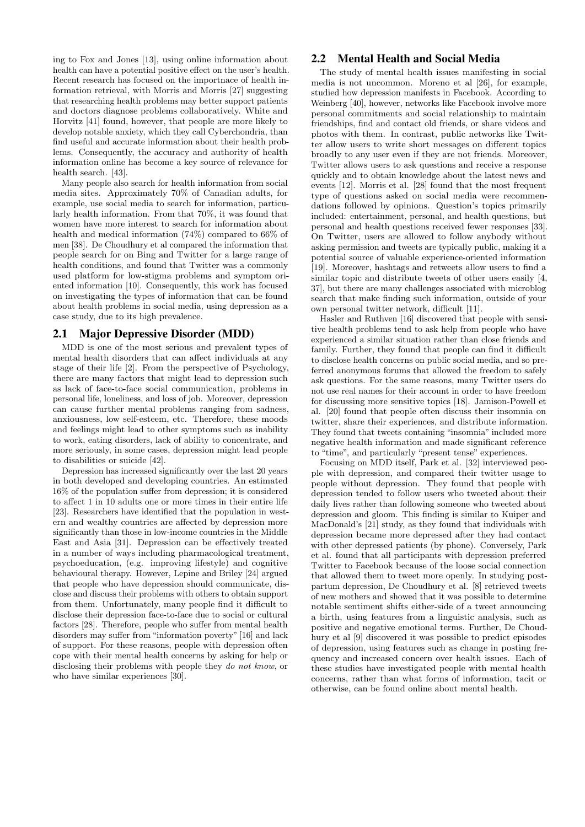ing to Fox and Jones [13], using online information about health can have a potential positive effect on the user's health. Recent research has focused on the importnace of health information retrieval, with Morris and Morris [27] suggesting that researching health problems may better support patients and doctors diagnose problems collaboratively. White and Horvitz [41] found, however, that people are more likely to develop notable anxiety, which they call Cyberchondria, than find useful and accurate information about their health problems. Consequently, the accuracy and authority of health information online has become a key source of relevance for health search. [43].

Many people also search for health information from social media sites. Approximately 70% of Canadian adults, for example, use social media to search for information, particularly health information. From that 70%, it was found that women have more interest to search for information about health and medical information (74%) compared to 66% of men [38]. De Choudhury et al compared the information that people search for on Bing and Twitter for a large range of health conditions, and found that Twitter was a commonly used platform for low-stigma problems and symptom oriented information [10]. Consequently, this work has focused on investigating the types of information that can be found about health problems in social media, using depression as a case study, due to its high prevalence.

## 2.1 Major Depressive Disorder (MDD)

MDD is one of the most serious and prevalent types of mental health disorders that can affect individuals at any stage of their life [2]. From the perspective of Psychology, there are many factors that might lead to depression such as lack of face-to-face social communication, problems in personal life, loneliness, and loss of job. Moreover, depression can cause further mental problems ranging from sadness, anxiousness, low self-esteem, etc. Therefore, these moods and feelings might lead to other symptoms such as inability to work, eating disorders, lack of ability to concentrate, and more seriously, in some cases, depression might lead people to disabilities or suicide [42].

Depression has increased significantly over the last 20 years in both developed and developing countries. An estimated 16% of the population suffer from depression; it is considered to affect 1 in 10 adults one or more times in their entire life [23]. Researchers have identified that the population in western and wealthy countries are affected by depression more significantly than those in low-income countries in the Middle East and Asia [31]. Depression can be effectively treated in a number of ways including pharmacological treatment, psychoeducation, (e.g. improving lifestyle) and cognitive behavioural therapy. However, Lepine and Briley [24] argued that people who have depression should communicate, disclose and discuss their problems with others to obtain support from them. Unfortunately, many people find it difficult to disclose their depression face-to-face due to social or cultural factors [28]. Therefore, people who suffer from mental health disorders may suffer from "information poverty" [16] and lack of support. For these reasons, people with depression often cope with their mental health concerns by asking for help or disclosing their problems with people they do not know, or who have similar experiences [30].

# 2.2 Mental Health and Social Media

The study of mental health issues manifesting in social media is not uncommon. Moreno et al [26], for example, studied how depression manifests in Facebook. According to Weinberg [40], however, networks like Facebook involve more personal commitments and social relationship to maintain friendships, find and contact old friends, or share videos and photos with them. In contrast, public networks like Twitter allow users to write short messages on different topics broadly to any user even if they are not friends. Moreover, Twitter allows users to ask questions and receive a response quickly and to obtain knowledge about the latest news and events [12]. Morris et al. [28] found that the most frequent type of questions asked on social media were recommendations followed by opinions. Question's topics primarily included: entertainment, personal, and health questions, but personal and health questions received fewer responses [33]. On Twitter, users are allowed to follow anybody without asking permission and tweets are typically public, making it a potential source of valuable experience-oriented information [19]. Moreover, hashtags and retweets allow users to find a similar topic and distribute tweets of other users easily [4, 37], but there are many challenges associated with microblog search that make finding such information, outside of your own personal twitter network, difficult [11].

Hasler and Ruthven [16] discovered that people with sensitive health problems tend to ask help from people who have experienced a similar situation rather than close friends and family. Further, they found that people can find it difficult to disclose health concerns on public social media, and so preferred anonymous forums that allowed the freedom to safely ask questions. For the same reasons, many Twitter users do not use real names for their account in order to have freedom for discussing more sensitive topics [18]. Jamison-Powell et al. [20] found that people often discuss their insomnia on twitter, share their experiences, and distribute information. They found that tweets containing "insomnia" included more negative health information and made significant reference to "time", and particularly "present tense" experiences.

Focusing on MDD itself, Park et al. [32] interviewed people with depression, and compared their twitter usage to people without depression. They found that people with depression tended to follow users who tweeted about their daily lives rather than following someone who tweeted about depression and gloom. This finding is similar to Kuiper and MacDonald's [21] study, as they found that individuals with depression became more depressed after they had contact with other depressed patients (by phone). Conversely, Park et al. found that all participants with depression preferred Twitter to Facebook because of the loose social connection that allowed them to tweet more openly. In studying postpartum depression, De Choudhury et al. [8] retrieved tweets of new mothers and showed that it was possible to determine notable sentiment shifts either-side of a tweet announcing a birth, using features from a linguistic analysis, such as positive and negative emotional terms. Further, De Choudhury et al [9] discovered it was possible to predict episodes of depression, using features such as change in posting frequency and increased concern over health issues. Each of these studies have investigated people with mental health concerns, rather than what forms of information, tacit or otherwise, can be found online about mental health.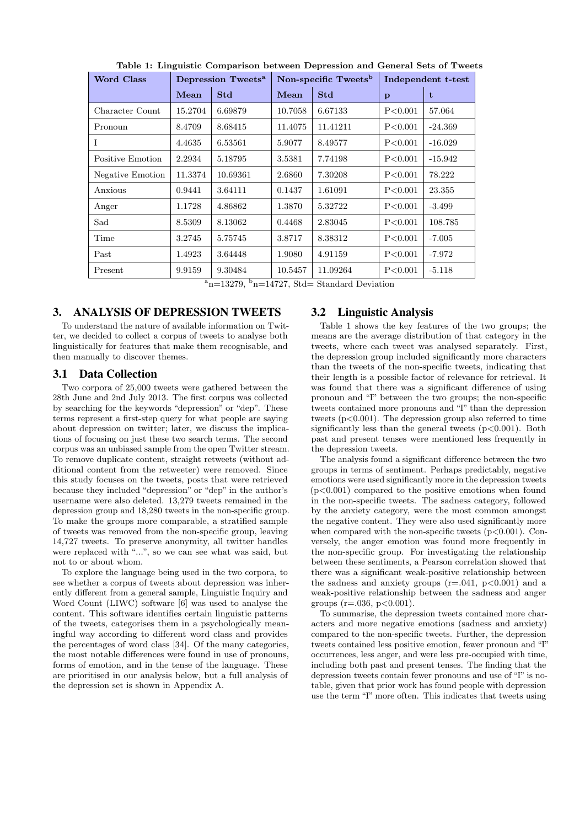| <b>Word Class</b> | Depression Tweets <sup>a</sup> |            |         | Non-specific Tweets <sup>b</sup> | Independent t-test |             |  |
|-------------------|--------------------------------|------------|---------|----------------------------------|--------------------|-------------|--|
|                   | Mean                           | <b>Std</b> | Mean    | <b>Std</b>                       | p                  | $\mathbf t$ |  |
| Character Count   | 15.2704                        | 6.69879    | 10.7058 | 6.67133                          | P < 0.001          | 57.064      |  |
| Pronoun           | 8.4709                         | 8.68415    | 11.4075 | 11.41211                         | P < 0.001          | $-24.369$   |  |
| L                 | 4.4635                         | 6.53561    | 5.9077  | 8.49577                          | P < 0.001          | $-16.029$   |  |
| Positive Emotion  | 2.2934                         | 5.18795    | 3.5381  | 7.74198                          | P < 0.001          | $-15.942$   |  |
| Negative Emotion  | 11.3374                        | 10.69361   | 2.6860  | 7.30208                          | P < 0.001          | 78.222      |  |
| Anxious           | 0.9441                         | 3.64111    | 0.1437  | 1.61091                          | P < 0.001          | 23.355      |  |
| Anger             | 1.1728                         | 4.86862    | 1.3870  | 5.32722                          | P < 0.001          | $-3.499$    |  |
| Sad               | 8.5309                         | 8.13062    | 0.4468  | 2.83045                          | P < 0.001          | 108.785     |  |
| Time              | 3.2745                         | 5.75745    | 3.8717  | 8.38312                          | P < 0.001          | $-7.005$    |  |
| Past              | 1.4923                         | 3.64448    | 1.9080  | 4.91159                          | P < 0.001          | $-7.972$    |  |
| Present           | 9.9159                         | 9.30484    | 10.5457 | 11.09264                         | P < 0.001          | $-5.118$    |  |

Table 1: Linguistic Comparison between Depression and General Sets of Tweets

 $a_n=13279$ ,  $b_n=14727$ , Std= Standard Deviation

## 3. ANALYSIS OF DEPRESSION TWEETS

To understand the nature of available information on Twitter, we decided to collect a corpus of tweets to analyse both linguistically for features that make them recognisable, and then manually to discover themes.

## 3.1 Data Collection

Two corpora of 25,000 tweets were gathered between the 28th June and 2nd July 2013. The first corpus was collected by searching for the keywords "depression" or "dep". These terms represent a first-step query for what people are saying about depression on twitter; later, we discuss the implications of focusing on just these two search terms. The second corpus was an unbiased sample from the open Twitter stream. To remove duplicate content, straight retweets (without additional content from the retweeter) were removed. Since this study focuses on the tweets, posts that were retrieved because they included "depression" or "dep" in the author's username were also deleted. 13,279 tweets remained in the depression group and 18,280 tweets in the non-specific group. To make the groups more comparable, a stratified sample of tweets was removed from the non-specific group, leaving 14,727 tweets. To preserve anonymity, all twitter handles were replaced with "...", so we can see what was said, but not to or about whom.

To explore the language being used in the two corpora, to see whether a corpus of tweets about depression was inherently different from a general sample, Linguistic Inquiry and Word Count (LIWC) software [6] was used to analyse the content. This software identifies certain linguistic patterns of the tweets, categorises them in a psychologically meaningful way according to different word class and provides the percentages of word class [34]. Of the many categories, the most notable differences were found in use of pronouns, forms of emotion, and in the tense of the language. These are prioritised in our analysis below, but a full analysis of the depression set is shown in Appendix A.

#### 3.2 Linguistic Analysis

Table 1 shows the key features of the two groups; the means are the average distribution of that category in the tweets, where each tweet was analysed separately. First, the depression group included significantly more characters than the tweets of the non-specific tweets, indicating that their length is a possible factor of relevance for retrieval. It was found that there was a significant difference of using pronoun and "I" between the two groups; the non-specific tweets contained more pronouns and "I" than the depression tweets  $(p<0.001)$ . The depression group also referred to time significantly less than the general tweets  $(p<0.001)$ . Both past and present tenses were mentioned less frequently in the depression tweets.

The analysis found a significant difference between the two groups in terms of sentiment. Perhaps predictably, negative emotions were used significantly more in the depression tweets  $(p<0.001)$  compared to the positive emotions when found in the non-specific tweets. The sadness category, followed by the anxiety category, were the most common amongst the negative content. They were also used significantly more when compared with the non-specific tweets  $(p<0.001)$ . Conversely, the anger emotion was found more frequently in the non-specific group. For investigating the relationship between these sentiments, a Pearson correlation showed that there was a significant weak-positive relationship between the sadness and anxiety groups  $(r=.041, p<0.001)$  and a weak-positive relationship between the sadness and anger groups  $(r=.036, p<0.001)$ .

To summarise, the depression tweets contained more characters and more negative emotions (sadness and anxiety) compared to the non-specific tweets. Further, the depression tweets contained less positive emotion, fewer pronoun and "I" occurrences, less anger, and were less pre-occupied with time, including both past and present tenses. The finding that the depression tweets contain fewer pronouns and use of "I" is notable, given that prior work has found people with depression use the term "I" more often. This indicates that tweets using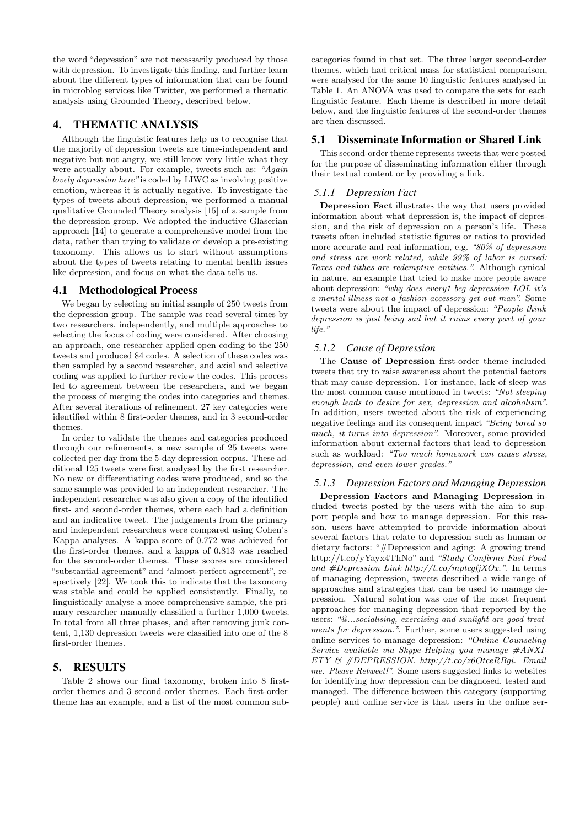the word "depression" are not necessarily produced by those with depression. To investigate this finding, and further learn about the different types of information that can be found in microblog services like Twitter, we performed a thematic analysis using Grounded Theory, described below.

# 4. THEMATIC ANALYSIS

Although the linguistic features help us to recognise that the majority of depression tweets are time-independent and negative but not angry, we still know very little what they were actually about. For example, tweets such as: "Again lovely depression here" is coded by LIWC as involving positive emotion, whereas it is actually negative. To investigate the types of tweets about depression, we performed a manual qualitative Grounded Theory analysis [15] of a sample from the depression group. We adopted the inductive Glaserian approach [14] to generate a comprehensive model from the data, rather than trying to validate or develop a pre-existing taxonomy. This allows us to start without assumptions about the types of tweets relating to mental health issues like depression, and focus on what the data tells us.

#### 4.1 Methodological Process

We began by selecting an initial sample of 250 tweets from the depression group. The sample was read several times by two researchers, independently, and multiple approaches to selecting the focus of coding were considered. After choosing an approach, one researcher applied open coding to the 250 tweets and produced 84 codes. A selection of these codes was then sampled by a second researcher, and axial and selective coding was applied to further review the codes. This process led to agreement between the researchers, and we began the process of merging the codes into categories and themes. After several iterations of refinement, 27 key categories were identified within 8 first-order themes, and in 3 second-order themes.

In order to validate the themes and categories produced through our refinements, a new sample of 25 tweets were collected per day from the 5-day depression corpus. These additional 125 tweets were first analysed by the first researcher. No new or differentiating codes were produced, and so the same sample was provided to an independent researcher. The independent researcher was also given a copy of the identified first- and second-order themes, where each had a definition and an indicative tweet. The judgements from the primary and independent researchers were compared using Cohen's Kappa analyses. A kappa score of 0.772 was achieved for the first-order themes, and a kappa of 0.813 was reached for the second-order themes. These scores are considered "substantial agreement" and "almost-perfect agreement", respectively [22]. We took this to indicate that the taxonomy was stable and could be applied consistently. Finally, to linguistically analyse a more comprehensive sample, the primary researcher manually classified a further 1,000 tweets. In total from all three phases, and after removing junk content, 1,130 depression tweets were classified into one of the 8 first-order themes.

## 5. RESULTS

Table 2 shows our final taxonomy, broken into 8 firstorder themes and 3 second-order themes. Each first-order theme has an example, and a list of the most common sub-

categories found in that set. The three larger second-order themes, which had critical mass for statistical comparison, were analysed for the same 10 linguistic features analysed in Table 1. An ANOVA was used to compare the sets for each linguistic feature. Each theme is described in more detail below, and the linguistic features of the second-order themes are then discussed.

#### 5.1 Disseminate Information or Shared Link

This second-order theme represents tweets that were posted for the purpose of disseminating information either through their textual content or by providing a link.

#### *5.1.1 Depression Fact*

Depression Fact illustrates the way that users provided information about what depression is, the impact of depression, and the risk of depression on a person's life. These tweets often included statistic figures or ratios to provided more accurate and real information, e.g. "80% of depression and stress are work related, while 99% of labor is cursed: Taxes and tithes are redemptive entities.". Although cynical in nature, an example that tried to make more people aware about depression: "why does every1 beg depression LOL it's a mental illness not a fashion accessory get out man". Some tweets were about the impact of depression: "People think depression is just being sad but it ruins every part of your life."

## *5.1.2 Cause of Depression*

The Cause of Depression first-order theme included tweets that try to raise awareness about the potential factors that may cause depression. For instance, lack of sleep was the most common cause mentioned in tweets: "Not sleeping enough leads to desire for sex, depression and alcoholism". In addition, users tweeted about the risk of experiencing negative feelings and its consequent impact "Being bored so much, it turns into depression". Moreover, some provided information about external factors that lead to depression such as workload: "Too much homework can cause stress, depression, and even lower grades."

#### *5.1.3 Depression Factors and Managing Depression*

Depression Factors and Managing Depression included tweets posted by the users with the aim to support people and how to manage depression. For this reason, users have attempted to provide information about several factors that relate to depression such as human or dietary factors: "#Depression and aging: A growing trend http://t.co/yYayx4ThNo" and "Study Confirms Fast Food and  $\#Depression Link http://t.co/mptcgfjXOx."$  In terms of managing depression, tweets described a wide range of approaches and strategies that can be used to manage depression. Natural solution was one of the most frequent approaches for managing depression that reported by the users: "@...socialising, exercising and sunlight are good treatments for depression.". Further, some users suggested using online services to manage depression: "Online Counseling Service available via Skype-Helping you manage #ANXI-ETY & #DEPRESSION. http://t.co/z6OtceRBgi. Email me. Please Retweet!". Some users suggested links to websites for identifying how depression can be diagnosed, tested and managed. The difference between this category (supporting people) and online service is that users in the online ser-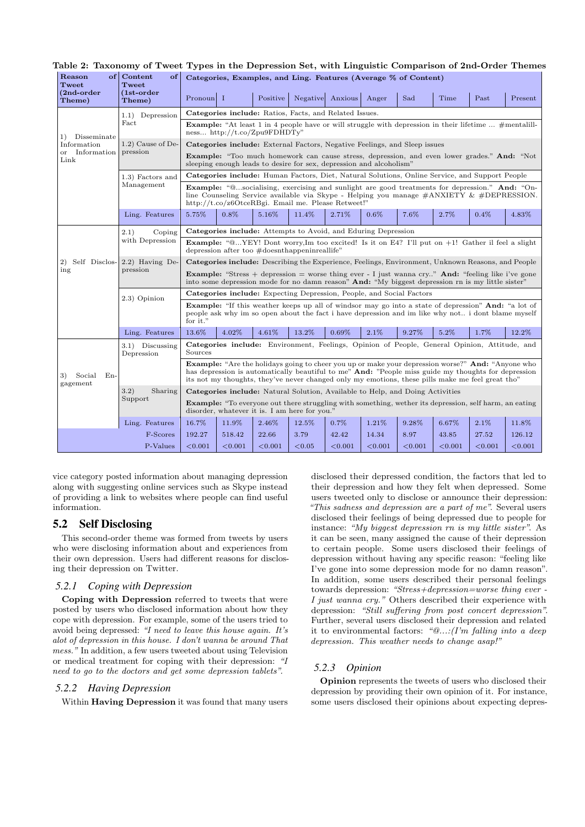| Reason<br>Tweet                   | of   Content<br>οf<br><b>Tweet</b>     | Categories, Examples, and Ling. Features (Average % of Content)                                                                                                                                                                                                                                                     |                                                                                                |          |        |                  |         |         |         |         |         |
|-----------------------------------|----------------------------------------|---------------------------------------------------------------------------------------------------------------------------------------------------------------------------------------------------------------------------------------------------------------------------------------------------------------------|------------------------------------------------------------------------------------------------|----------|--------|------------------|---------|---------|---------|---------|---------|
| (2nd-order<br>Theme)              | $(1st-order$<br>Theme)                 | Pronoun I                                                                                                                                                                                                                                                                                                           |                                                                                                | Positive |        | Negative Anxious | Anger   | Sad     | Time    | Past    | Present |
| Disseminate<br>1)                 | 1.1) Depression                        | Categories include: Ratios, Facts, and Related Issues.                                                                                                                                                                                                                                                              |                                                                                                |          |        |                  |         |         |         |         |         |
|                                   | Fact                                   | <b>Example:</b> "At least 1 in 4 people have or will struggle with depression in their lifetime  #mentalill-<br>ness $http://t.co/Zpu9FDHDTy"$                                                                                                                                                                      |                                                                                                |          |        |                  |         |         |         |         |         |
| Information                       | $1.2$ ) Cause of De-<br>pression       | Categories include: External Factors, Negative Feelings, and Sleep issues                                                                                                                                                                                                                                           |                                                                                                |          |        |                  |         |         |         |         |         |
| or Information<br>Link            |                                        | <b>Example:</b> "Too much homework can cause stress, depression, and even lower grades." And: "Not<br>sleeping enough leads to desire for sex, depression and alcoholism"                                                                                                                                           |                                                                                                |          |        |                  |         |         |         |         |         |
|                                   | 1.3) Factors and                       |                                                                                                                                                                                                                                                                                                                     | Categories include: Human Factors, Diet, Natural Solutions, Online Service, and Support People |          |        |                  |         |         |         |         |         |
|                                   | Management                             | <b>Example:</b> "@socialising, exercising and sunlight are good treatments for depression." And: "On-<br>line Counseling Service available via Skype - Helping you manage $\#ANXIETY \& \#DEPRESSION$ .<br>http://t.co/z6OtceRBgi. Email me. Please Retweet!"                                                       |                                                                                                |          |        |                  |         |         |         |         |         |
|                                   | Ling. Features                         | 5.75%                                                                                                                                                                                                                                                                                                               | $0.8\%$                                                                                        | 5.16%    | 11.4%  | 2.71%            | $0.6\%$ | $7.6\%$ | 2.7%    | $0.4\%$ | 4.83%   |
|                                   | (2.1)<br>Coping                        | Categories include: Attempts to Avoid, and Eduring Depression                                                                                                                                                                                                                                                       |                                                                                                |          |        |                  |         |         |         |         |         |
|                                   | with Depression                        | <b>Example:</b> "@YEY! Dont worry, Im too excited! Is it on E4? I'll put on $+1$ ! Gather il feel a slight<br>depression after too #doesnthappeninreallife"                                                                                                                                                         |                                                                                                |          |        |                  |         |         |         |         |         |
| 2)                                | Self Disclos- $ 2.2\rangle$ Having De- | <b>Categories include:</b> Describing the Experience, Feelings, Environment, Unknown Reasons, and People                                                                                                                                                                                                            |                                                                                                |          |        |                  |         |         |         |         |         |
| ing                               | pression                               | <b>Example:</b> "Stress + depression = worse thing ever - I just wanna cry" And: "feeling like i've gone<br>into some depression mode for no damn reason" And: "My biggest depression rn is my little sister"                                                                                                       |                                                                                                |          |        |                  |         |         |         |         |         |
|                                   | 2.3) Opinion                           | <b>Categories include:</b> Expecting Depression, People, and Social Factors                                                                                                                                                                                                                                         |                                                                                                |          |        |                  |         |         |         |         |         |
|                                   |                                        | <b>Example:</b> "If this weather keeps up all of windsor may go into a state of depression" And: "a lot of<br>people ask why im so open about the fact i have depression and im like why not i dont blame myself<br>for it."                                                                                        |                                                                                                |          |        |                  |         |         |         |         |         |
|                                   | Ling. Features                         | 13.6%                                                                                                                                                                                                                                                                                                               | 4.02%                                                                                          | 4.61%    | 13.2%  | 0.69%            | 2.1%    | 9.27%   | 5.2%    | 1.7%    | 12.2%   |
|                                   | 3.1) Discussing<br>Depression          | Categories include: Environment, Feelings, Opinion of People, General Opinion, Attitude, and<br>Sources                                                                                                                                                                                                             |                                                                                                |          |        |                  |         |         |         |         |         |
| Social<br>3)<br>$En-$<br>gagement |                                        | <b>Example:</b> "Are the holidays going to cheer you up or make your depression worse?" And: "Anyone who<br>has depression is automatically beautiful to me" And: "People miss guide my thoughts for depression<br>its not my thoughts, they've never changed only my emotions, these pills make me feel great tho" |                                                                                                |          |        |                  |         |         |         |         |         |
|                                   | 3.2)<br>Sharing                        | Categories include: Natural Solution, Available to Help, and Doing Activities                                                                                                                                                                                                                                       |                                                                                                |          |        |                  |         |         |         |         |         |
|                                   | Support                                | <b>Example:</b> "To everyone out there struggling with something, wether its depression, self harm, an eating<br>disorder, whatever it is. I am here for you."                                                                                                                                                      |                                                                                                |          |        |                  |         |         |         |         |         |
|                                   | Ling. Features                         | 16.7%                                                                                                                                                                                                                                                                                                               | 11.9%                                                                                          | 2.46%    | 12.5%  | 0.7%             | 1.21%   | 9.28%   | 6.67%   | 2.1%    | 11.8%   |
| F-Scores                          |                                        | 192.27                                                                                                                                                                                                                                                                                                              | 518.42                                                                                         | 22.66    | 3.79   | 42.42            | 14.34   | 8.97    | 43.85   | 27.52   | 126.12  |
| P-Values                          |                                        | < 0.001                                                                                                                                                                                                                                                                                                             | < 0.001                                                                                        | < 0.001  | < 0.05 | < 0.001          | < 0.001 | < 0.001 | < 0.001 | < 0.001 | < 0.001 |

Table 2: Taxonomy of Tweet Types in the Depression Set, with Linguistic Comparison of 2nd-Order Themes

vice category posted information about managing depression along with suggesting online services such as Skype instead of providing a link to websites where people can find useful information.

## 5.2 Self Disclosing

This second-order theme was formed from tweets by users who were disclosing information about and experiences from their own depression. Users had different reasons for disclosing their depression on Twitter.

#### *5.2.1 Coping with Depression*

Coping with Depression referred to tweets that were posted by users who disclosed information about how they cope with depression. For example, some of the users tried to avoid being depressed: "I need to leave this house again. It's alot of depression in this house. I don't wanna be around That mess." In addition, a few users tweeted about using Television or medical treatment for coping with their depression: "I need to go to the doctors and get some depression tablets".

## *5.2.2 Having Depression*

Within Having Depression it was found that many users

disclosed their depressed condition, the factors that led to their depression and how they felt when depressed. Some users tweeted only to disclose or announce their depression: "This sadness and depression are a part of me". Several users disclosed their feelings of being depressed due to people for instance: "My biggest depression rn is my little sister". As it can be seen, many assigned the cause of their depression to certain people. Some users disclosed their feelings of depression without having any specific reason: "feeling like I've gone into some depression mode for no damn reason". In addition, some users described their personal feelings towards depression: "Stress+depression=worse thing ever - I just wanna cry." Others described their experience with depression: "Still suffering from post concert depression". Further, several users disclosed their depression and related it to environmental factors: " $@...$ :(I'm falling into a deep depression. This weather needs to change asap!"

#### *5.2.3 Opinion*

Opinion represents the tweets of users who disclosed their depression by providing their own opinion of it. For instance, some users disclosed their opinions about expecting depres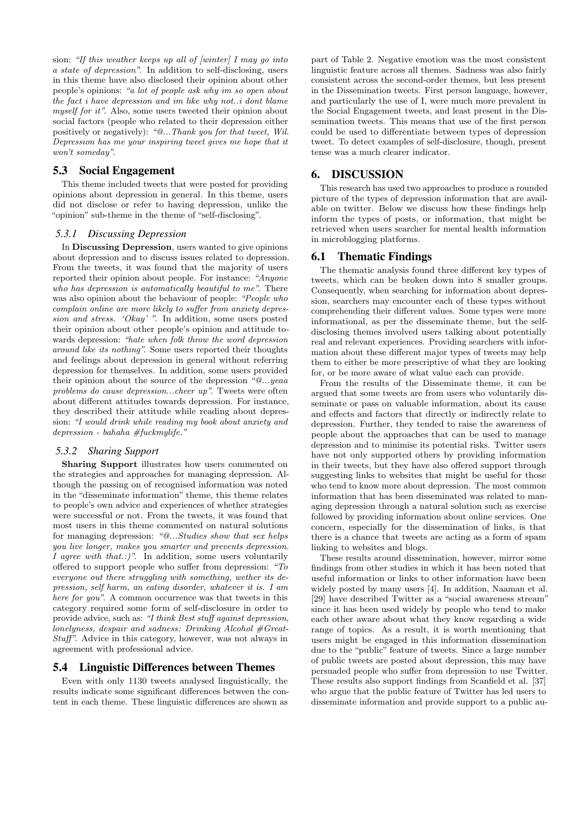sion: "If this weather keeps up all of  $|winter|$  I may go into a state of depression". In addition to self-disclosing, users in this theme have also disclosed their opinion about other people's opinions: "a lot of people ask why im so open about the fact i have depression and im like why not..i dont blame myself for it". Also, some users tweeted their opinion about social factors (people who related to their depression either positively or negatively): "@...Thank you for that tweet, Wil. Depression has me your inspiring tweet gives me hope that it won't someday".

#### 5.3 Social Engagement

This theme included tweets that were posted for providing opinions about depression in general. In this theme, users did not disclose or refer to having depression, unlike the "opinion" sub-theme in the theme of "self-disclosing".

#### *5.3.1 Discussing Depression*

In Discussing Depression, users wanted to give opinions about depression and to discuss issues related to depression. From the tweets, it was found that the majority of users reported their opinion about people. For instance: "Anyone who has depression is automatically beautiful to me". There was also opinion about the behaviour of people: "People who complain online are more likely to suffer from anxiety depression and stress. 'Okay' ". In addition, some users posted their opinion about other people's opinion and attitude towards depression: "hate when folk throw the word depression around like its nothing". Some users reported their thoughts and feelings about depression in general without referring depression for themselves. In addition, some users provided their opinion about the source of the depression "@...yeaa problems do cause depression...cheer up". Tweets were often about different attitudes towards depression. For instance, they described their attitude while reading about depression: "I would drink while reading my book about anxiety and depression - bahaha #fuckmylife."

#### *5.3.2 Sharing Support*

Sharing Support illustrates how users commented on the strategies and approaches for managing depression. Although the passing on of recognised information was noted in the "disseminate information" theme, this theme relates to people's own advice and experiences of whether strategies were successful or not. From the tweets, it was found that most users in this theme commented on natural solutions for managing depression: "@...Studies show that sex helps you live longer, makes you smarter and prevents depression. I agree with that.:)". In addition, some users voluntarily offered to support people who suffer from depression: "To everyone out there struggling with something, wether its depression, self harm, an eating disorder, whatever it is. I am here for you". A common occurrence was that tweets in this category required some form of self-disclosure in order to provide advice, such as: "I think Best stuff against depression, lonelyness, despair and sadness: Drinking Alcohol  $\#Great$ -Stuff". Advice in this category, however, was not always in agreement with professional advice.

## 5.4 Linguistic Differences between Themes

Even with only 1130 tweets analysed linguistically, the results indicate some significant differences between the content in each theme. These linguistic differences are shown as

part of Table 2. Negative emotion was the most consistent linguistic feature across all themes. Sadness was also fairly consistent across the second-order themes, but less present in the Dissemination tweets. First person language, however, and particularly the use of I, were much more prevalent in the Social Engagement tweets, and least present in the Dissemination tweets. This means that use of the first person could be used to differentiate between types of depression tweet. To detect examples of self-disclosure, though, present tense was a much clearer indicator.

## 6. DISCUSSION

This research has used two approaches to produce a rounded picture of the types of depression information that are available on twitter. Below we discuss how these findings help inform the types of posts, or information, that might be retrieved when users searcher for mental health information in microblogging platforms.

### 6.1 Thematic Findings

The thematic analysis found three different key types of tweets, which can be broken down into 8 smaller groups. Consequently, when searching for information about depression, searchers may encounter each of these types without comprehending their different values. Some types were more informational, as per the disseminate theme, but the selfdisclosing themes involved users talking about potentially real and relevant experiences. Providing searchers with information about these different major types of tweets may help them to either be more prescriptive of what they are looking for, or be more aware of what value each can provide.

From the results of the Disseminate theme, it can be argued that some tweets are from users who voluntarily disseminate or pass on valuable information, about its cause and effects and factors that directly or indirectly relate to depression. Further, they tended to raise the awareness of people about the approaches that can be used to manage depression and to minimise its potential risks. Twitter users have not only supported others by providing information in their tweets, but they have also offered support through suggesting links to websites that might be useful for those who tend to know more about depression. The most common information that has been disseminated was related to managing depression through a natural solution such as exercise followed by providing information about online services. One concern, especially for the dissemination of links, is that there is a chance that tweets are acting as a form of spam linking to websites and blogs.

These results around dissemination, however, mirror some findings from other studies in which it has been noted that useful information or links to other information have been widely posted by many users [4]. In addition, Naaman et al. [29] have described Twitter as a "social awareness stream" since it has been used widely by people who tend to make each other aware about what they know regarding a wide range of topics. As a result, it is worth mentioning that users might be engaged in this information dissemination due to the "public" feature of tweets. Since a large number of public tweets are posted about depression, this may have persuaded people who suffer from depression to use Twitter. These results also support findings from Scanfield et al. [37] who argue that the public feature of Twitter has led users to disseminate information and provide support to a public au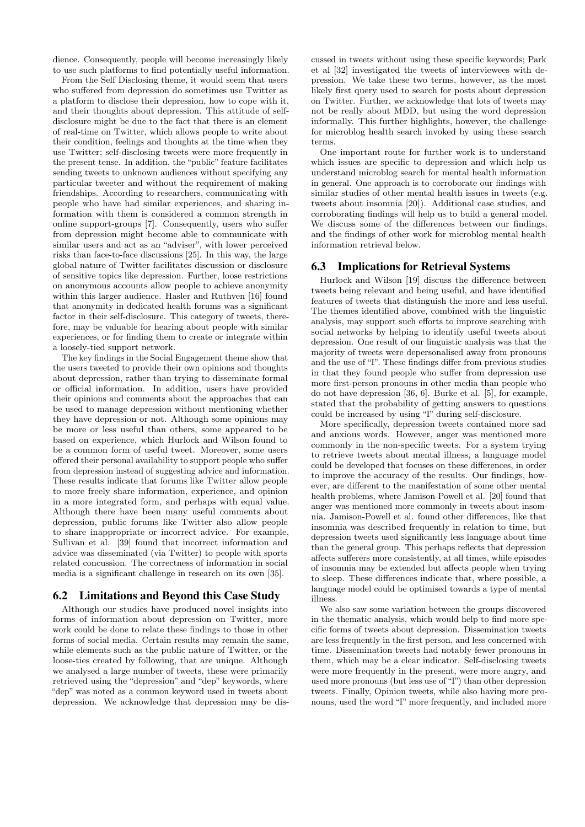dience. Consequently, people will become increasingly likely to use such platforms to find potentially useful information.

From the Self Disclosing theme, it would seem that users who suffered from depression do sometimes use Twitter as a platform to disclose their depression, how to cope with it, and their thoughts about depression. This attitude of selfdisclosure might be due to the fact that there is an element of real-time on Twitter, which allows people to write about their condition, feelings and thoughts at the time when they use Twitter; self-disclosing tweets were more frequently in the present tense. In addition, the "public" feature facilitates sending tweets to unknown audiences without specifying any particular tweeter and without the requirement of making friendships. According to researchers, communicating with people who have had similar experiences, and sharing information with them is considered a common strength in online support-groups [7]. Consequently, users who suffer from depression might become able to communicate with similar users and act as an "adviser", with lower perceived risks than face-to-face discussions [25]. In this way, the large global nature of Twitter facilitates discussion or disclosure of sensitive topics like depression. Further, loose restrictions on anonymous accounts allow people to achieve anonymity within this larger audience. Hasler and Ruthven [16] found that anonymity in dedicated health forums was a significant factor in their self-disclosure. This category of tweets, therefore, may be valuable for hearing about people with similar experiences, or for finding them to create or integrate within a loosely-tied support network.

The key findings in the Social Engagement theme show that the users tweeted to provide their own opinions and thoughts about depression, rather than trying to disseminate formal or official information. In addition, users have provided their opinions and comments about the approaches that can be used to manage depression without mentioning whether they have depression or not. Although some opinions may be more or less useful than others, some appeared to be based on experience, which Hurlock and Wilson found to be a common form of useful tweet. Moreover, some users offered their personal availability to support people who suffer from depression instead of suggesting advice and information. These results indicate that forums like Twitter allow people to more freely share information, experience, and opinion in a more integrated form, and perhaps with equal value. Although there have been many useful comments about depression, public forums like Twitter also allow people to share inappropriate or incorrect advice. For example, Sullivan et al. [39] found that incorrect information and advice was disseminated (via Twitter) to people with sports related concussion. The correctness of information in social media is a significant challenge in research on its own [35].

## 6.2 Limitations and Beyond this Case Study

Although our studies have produced novel insights into forms of information about depression on Twitter, more work could be done to relate these findings to those in other forms of social media. Certain results may remain the same, while elements such as the public nature of Twitter, or the loose-ties created by following, that are unique. Although we analysed a large number of tweets, these were primarily retrieved using the "depression" and "dep" keywords, where "dep" was noted as a common keyword used in tweets about depression. We acknowledge that depression may be dis-

cussed in tweets without using these specific keywords; Park et al [32] investigated the tweets of interviewees with depression. We take these two terms, however, as the most likely first query used to search for posts about depression on Twitter. Further, we acknowledge that lots of tweets may not be really about MDD, but using the word depression informally. This further highlights, however, the challenge for microblog health search invoked by using these search terms.

One important route for further work is to understand which issues are specific to depression and which help us understand microblog search for mental health information in general. One approach is to corroborate our findings with similar studies of other mental health issues in tweets (e.g. tweets about insomnia [20]). Additional case studies, and corroborating findings will help us to build a general model. We discuss some of the differences between our findings. and the findings of other work for microblog mental health information retrieval below.

#### 6.3 Implications for Retrieval Systems

Hurlock and Wilson [19] discuss the difference between tweets being relevant and being useful, and have identified features of tweets that distinguish the more and less useful. The themes identified above, combined with the linguistic analysis, may support such efforts to improve searching with social networks by helping to identify useful tweets about depression. One result of our linguistic analysis was that the majority of tweets were depersonalised away from pronouns and the use of "I". These findings differ from previous studies in that they found people who suffer from depression use more first-person pronouns in other media than people who do not have depression [36, 6]. Burke et al. [5], for example, stated that the probability of getting answers to questions could be increased by using "I" during self-disclosure.

More specifically, depression tweets contained more sad and anxious words. However, anger was mentioned more commonly in the non-specific tweets. For a system trying to retrieve tweets about mental illness, a language model could be developed that focuses on these differences, in order to improve the accuracy of the results. Our findings, however, are different to the manifestation of some other mental health problems, where Jamison-Powell et al. [20] found that anger was mentioned more commonly in tweets about insomnia. Jamison-Powell et al. found other differences, like that insomnia was described frequently in relation to time, but depression tweets used significantly less language about time than the general group. This perhaps reflects that depression affects sufferers more consistently, at all times, while episodes of insomnia may be extended but affects people when trying to sleep. These differences indicate that, where possible, a language model could be optimised towards a type of mental illness.

We also saw some variation between the groups discovered in the thematic analysis, which would help to find more specific forms of tweets about depression. Dissemination tweets are less frequently in the first person, and less concerned with time. Dissemination tweets had notably fewer pronouns in them, which may be a clear indicator. Self-disclosing tweets were more frequently in the present, were more angry, and used more pronouns (but less use of "I") than other depression tweets. Finally, Opinion tweets, while also having more pronouns, used the word "I" more frequently, and included more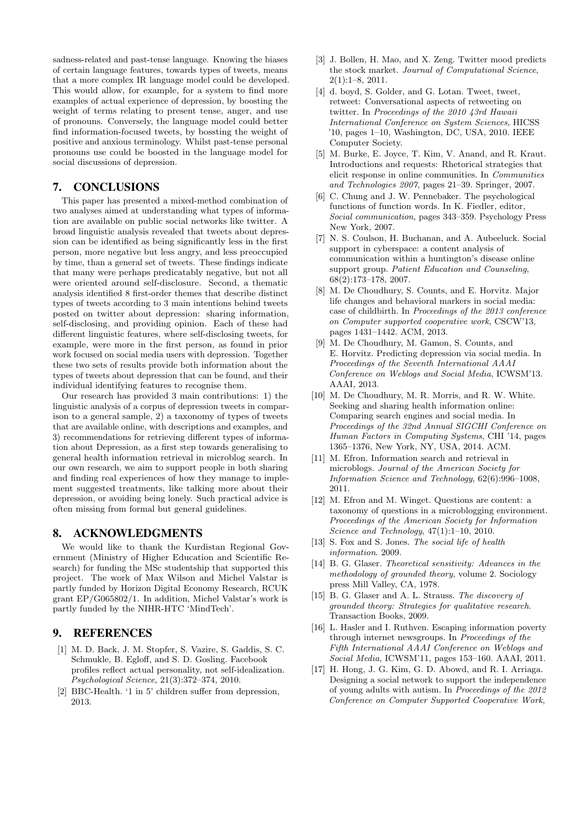sadness-related and past-tense language. Knowing the biases of certain language features, towards types of tweets, means that a more complex IR language model could be developed. This would allow, for example, for a system to find more examples of actual experience of depression, by boosting the weight of terms relating to present tense, anger, and use of pronouns. Conversely, the language model could better find information-focused tweets, by bossting the weight of positive and anxious terminology. Whilst past-tense personal pronouns use could be boosted in the language model for social discussions of depression.

# 7. CONCLUSIONS

This paper has presented a mixed-method combination of two analyses aimed at understanding what types of information are available on public social networks like twitter. A broad linguistic analysis revealed that tweets about depression can be identified as being significantly less in the first person, more negative but less angry, and less preoccupied by time, than a general set of tweets. These findings indicate that many were perhaps predicatably negative, but not all were oriented around self-disclosure. Second, a thematic analysis identified 8 first-order themes that describe distinct types of tweets according to 3 main intentions behind tweets posted on twitter about depression: sharing information, self-disclosing, and providing opinion. Each of these had different linguistic features, where self-disclosing tweets, for example, were more in the first person, as found in prior work focused on social media users with depression. Together these two sets of results provide both information about the types of tweets about depression that can be found, and their individual identifying features to recognise them.

Our research has provided 3 main contributions: 1) the linguistic analysis of a corpus of depression tweets in comparison to a general sample, 2) a taxonomy of types of tweets that are available online, with descriptions and examples, and 3) recommendations for retrieving different types of information about Depression, as a first step towards generalising to general health information retrieval in microblog search. In our own research, we aim to support people in both sharing and finding real experiences of how they manage to implement suggested treatments, like talking more about their depression, or avoiding being lonely. Such practical advice is often missing from formal but general guidelines.

## 8. ACKNOWLEDGMENTS

We would like to thank the Kurdistan Regional Government (Ministry of Higher Education and Scientific Research) for funding the MSc studentship that supported this project. The work of Max Wilson and Michel Valstar is partly funded by Horizon Digital Economy Research, RCUK grant EP/G065802/1. In addition, Michel Valstar's work is partly funded by the NIHR-HTC 'MindTech'.

## 9. REFERENCES

- [1] M. D. Back, J. M. Stopfer, S. Vazire, S. Gaddis, S. C. Schmukle, B. Egloff, and S. D. Gosling. Facebook profiles reflect actual personality, not self-idealization. Psychological Science, 21(3):372–374, 2010.
- [2] BBC-Health. '1 in 5' children suffer from depression, 2013.
- [3] J. Bollen, H. Mao, and X. Zeng. Twitter mood predicts the stock market. Journal of Computational Science, 2(1):1–8, 2011.
- [4] d. boyd, S. Golder, and G. Lotan. Tweet, tweet, retweet: Conversational aspects of retweeting on twitter. In Proceedings of the 2010 43rd Hawaii International Conference on System Sciences, HICSS '10, pages 1–10, Washington, DC, USA, 2010. IEEE Computer Society.
- [5] M. Burke, E. Joyce, T. Kim, V. Anand, and R. Kraut. Introductions and requests: Rhetorical strategies that elicit response in online communities. In Communities and Technologies 2007, pages 21–39. Springer, 2007.
- [6] C. Chung and J. W. Pennebaker. The psychological functions of function words. In K. Fiedler, editor, Social communication, pages 343–359. Psychology Press New York, 2007.
- [7] N. S. Coulson, H. Buchanan, and A. Aubeeluck. Social support in cyberspace: a content analysis of communication within a huntington's disease online support group. Patient Education and Counseling, 68(2):173–178, 2007.
- [8] M. De Choudhury, S. Counts, and E. Horvitz. Major life changes and behavioral markers in social media: case of childbirth. In Proceedings of the 2013 conference on Computer supported cooperative work, CSCW'13, pages 1431–1442. ACM, 2013.
- [9] M. De Choudhury, M. Gamon, S. Counts, and E. Horvitz. Predicting depression via social media. In Proceedings of the Seventh International AAAI Conference on Weblogs and Social Media, ICWSM'13. AAAI, 2013.
- [10] M. De Choudhury, M. R. Morris, and R. W. White. Seeking and sharing health information online: Comparing search engines and social media. In Proceedings of the 32nd Annual SIGCHI Conference on Human Factors in Computing Systems, CHI '14, pages 1365–1376, New York, NY, USA, 2014. ACM.
- [11] M. Efron. Information search and retrieval in microblogs. Journal of the American Society for Information Science and Technology, 62(6):996–1008, 2011.
- [12] M. Efron and M. Winget. Questions are content: a taxonomy of questions in a microblogging environment. Proceedings of the American Society for Information Science and Technology, 47(1):1–10, 2010.
- [13] S. Fox and S. Jones. The social life of health information. 2009.
- [14] B. G. Glaser. Theoretical sensitivity: Advances in the methodology of grounded theory, volume 2. Sociology press Mill Valley, CA, 1978.
- [15] B. G. Glaser and A. L. Strauss. The discovery of grounded theory: Strategies for qualitative research. Transaction Books, 2009.
- [16] L. Hasler and I. Ruthven. Escaping information poverty through internet newsgroups. In Proceedings of the Fifth International AAAI Conference on Weblogs and Social Media, ICWSM'11, pages 153–160. AAAI, 2011.
- [17] H. Hong, J. G. Kim, G. D. Abowd, and R. I. Arriaga. Designing a social network to support the independence of young adults with autism. In Proceedings of the 2012 Conference on Computer Supported Cooperative Work,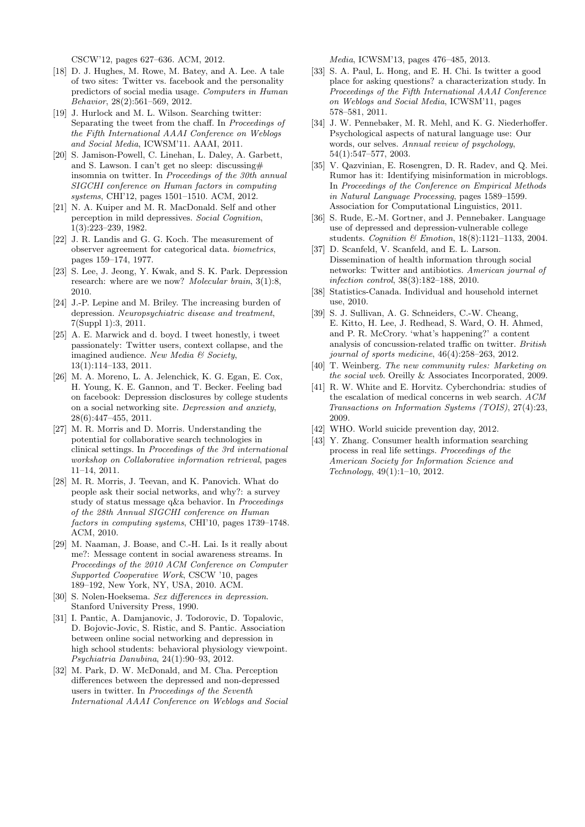CSCW'12, pages 627–636. ACM, 2012.

- [18] D. J. Hughes, M. Rowe, M. Batey, and A. Lee. A tale of two sites: Twitter vs. facebook and the personality predictors of social media usage. Computers in Human Behavior, 28(2):561–569, 2012.
- [19] J. Hurlock and M. L. Wilson. Searching twitter: Separating the tweet from the chaff. In Proceedings of the Fifth International AAAI Conference on Weblogs and Social Media, ICWSM'11. AAAI, 2011.
- [20] S. Jamison-Powell, C. Linehan, L. Daley, A. Garbett, and S. Lawson. I can't get no sleep: discussing# insomnia on twitter. In Proceedings of the 30th annual SIGCHI conference on Human factors in computing systems, CHI'12, pages 1501–1510. ACM, 2012.
- [21] N. A. Kuiper and M. R. MacDonald. Self and other perception in mild depressives. Social Cognition, 1(3):223–239, 1982.
- [22] J. R. Landis and G. G. Koch. The measurement of observer agreement for categorical data. biometrics, pages 159–174, 1977.
- [23] S. Lee, J. Jeong, Y. Kwak, and S. K. Park. Depression research: where are we now? Molecular brain, 3(1):8, 2010.
- [24] J.-P. Lepine and M. Briley. The increasing burden of depression. Neuropsychiatric disease and treatment, 7(Suppl 1):3, 2011.
- [25] A. E. Marwick and d. boyd. I tweet honestly, i tweet passionately: Twitter users, context collapse, and the imagined audience. New Media  $\mathcal B$  Society, 13(1):114–133, 2011.
- [26] M. A. Moreno, L. A. Jelenchick, K. G. Egan, E. Cox, H. Young, K. E. Gannon, and T. Becker. Feeling bad on facebook: Depression disclosures by college students on a social networking site. Depression and anxiety, 28(6):447–455, 2011.
- [27] M. R. Morris and D. Morris. Understanding the potential for collaborative search technologies in clinical settings. In Proceedings of the 3rd international workshop on Collaborative information retrieval, pages 11–14, 2011.
- [28] M. R. Morris, J. Teevan, and K. Panovich. What do people ask their social networks, and why?: a survey study of status message q&a behavior. In Proceedings of the 28th Annual SIGCHI conference on Human factors in computing systems, CHI'10, pages 1739–1748. ACM, 2010.
- [29] M. Naaman, J. Boase, and C.-H. Lai. Is it really about me?: Message content in social awareness streams. In Proceedings of the 2010 ACM Conference on Computer Supported Cooperative Work, CSCW '10, pages 189–192, New York, NY, USA, 2010. ACM.
- [30] S. Nolen-Hoeksema. Sex differences in depression. Stanford University Press, 1990.
- [31] I. Pantic, A. Damjanovic, J. Todorovic, D. Topalovic, D. Bojovic-Jovic, S. Ristic, and S. Pantic. Association between online social networking and depression in high school students: behavioral physiology viewpoint. Psychiatria Danubina, 24(1):90–93, 2012.
- [32] M. Park, D. W. McDonald, and M. Cha. Perception differences between the depressed and non-depressed users in twitter. In Proceedings of the Seventh International AAAI Conference on Weblogs and Social

Media, ICWSM'13, pages 476–485, 2013.

- [33] S. A. Paul, L. Hong, and E. H. Chi. Is twitter a good place for asking questions? a characterization study. In Proceedings of the Fifth International AAAI Conference on Weblogs and Social Media, ICWSM'11, pages 578–581, 2011.
- [34] J. W. Pennebaker, M. R. Mehl, and K. G. Niederhoffer. Psychological aspects of natural language use: Our words, our selves. Annual review of psychology, 54(1):547–577, 2003.
- [35] V. Qazvinian, E. Rosengren, D. R. Radev, and Q. Mei. Rumor has it: Identifying misinformation in microblogs. In Proceedings of the Conference on Empirical Methods in Natural Language Processing, pages 1589–1599. Association for Computational Linguistics, 2011.
- [36] S. Rude, E.-M. Gortner, and J. Pennebaker. Language use of depressed and depression-vulnerable college students. Cognition & Emotion, 18(8):1121–1133, 2004.
- [37] D. Scanfeld, V. Scanfeld, and E. L. Larson. Dissemination of health information through social networks: Twitter and antibiotics. American journal of infection control, 38(3):182–188, 2010.
- [38] Statistics-Canada. Individual and household internet use, 2010.
- [39] S. J. Sullivan, A. G. Schneiders, C.-W. Cheang, E. Kitto, H. Lee, J. Redhead, S. Ward, O. H. Ahmed, and P. R. McCrory. 'what's happening?' a content analysis of concussion-related traffic on twitter. British journal of sports medicine, 46(4):258–263, 2012.
- [40] T. Weinberg. The new community rules: Marketing on the social web. Oreilly & Associates Incorporated, 2009.
- [41] R. W. White and E. Horvitz. Cyberchondria: studies of the escalation of medical concerns in web search. ACM Transactions on Information Systems (TOIS), 27(4):23, 2009.
- [42] WHO. World suicide prevention day, 2012.
- [43] Y. Zhang. Consumer health information searching process in real life settings. Proceedings of the American Society for Information Science and Technology, 49(1):1–10, 2012.